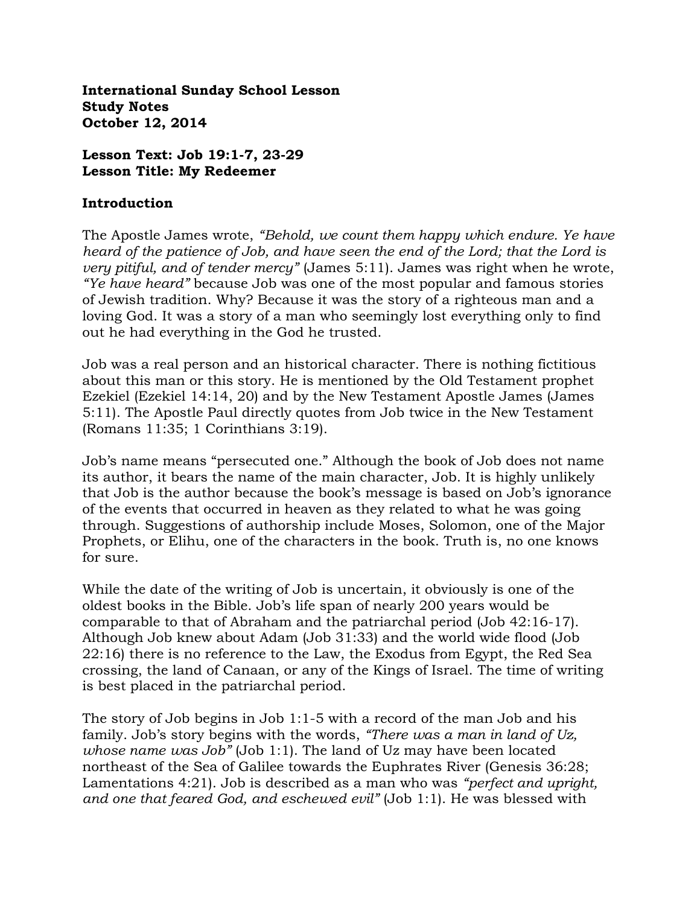**International Sunday School Lesson Study Notes October 12, 2014**

**Lesson Text: Job 19:1-7, 23-29 Lesson Title: My Redeemer**

#### **Introduction**

The Apostle James wrote, *"Behold, we count them happy which endure. Ye have heard of the patience of Job, and have seen the end of the Lord; that the Lord is very pitiful, and of tender mercy*" (James 5:11). James was right when he wrote, *"Ye have heard"* because Job was one of the most popular and famous stories of Jewish tradition. Why? Because it was the story of a righteous man and a loving God. It was a story of a man who seemingly lost everything only to find out he had everything in the God he trusted.

Job was a real person and an historical character. There is nothing fictitious about this man or this story. He is mentioned by the Old Testament prophet Ezekiel (Ezekiel 14:14, 20) and by the New Testament Apostle James (James 5:11). The Apostle Paul directly quotes from Job twice in the New Testament (Romans 11:35; 1 Corinthians 3:19).

Job's name means "persecuted one." Although the book of Job does not name its author, it bears the name of the main character, Job. It is highly unlikely that Job is the author because the book's message is based on Job's ignorance of the events that occurred in heaven as they related to what he was going through. Suggestions of authorship include Moses, Solomon, one of the Major Prophets, or Elihu, one of the characters in the book. Truth is, no one knows for sure.

While the date of the writing of Job is uncertain, it obviously is one of the oldest books in the Bible. Job's life span of nearly 200 years would be comparable to that of Abraham and the patriarchal period (Job 42:16-17). Although Job knew about Adam (Job 31:33) and the world wide flood (Job 22:16) there is no reference to the Law, the Exodus from Egypt, the Red Sea crossing, the land of Canaan, or any of the Kings of Israel. The time of writing is best placed in the patriarchal period.

The story of Job begins in Job 1:1-5 with a record of the man Job and his family. Job's story begins with the words, *"There was a man in land of Uz, whose name was Job"* (Job 1:1). The land of Uz may have been located northeast of the Sea of Galilee towards the Euphrates River (Genesis 36:28; Lamentations 4:21). Job is described as a man who was *"perfect and upright, and one that feared God, and eschewed evil"* (Job 1:1). He was blessed with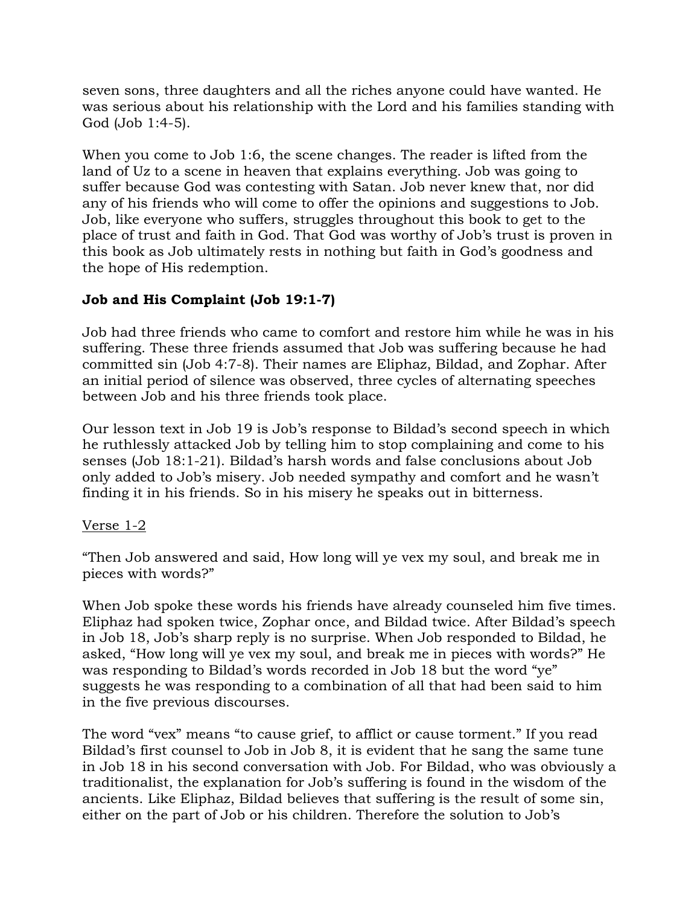seven sons, three daughters and all the riches anyone could have wanted. He was serious about his relationship with the Lord and his families standing with God (Job 1:4-5).

When you come to Job 1:6, the scene changes. The reader is lifted from the land of Uz to a scene in heaven that explains everything. Job was going to suffer because God was contesting with Satan. Job never knew that, nor did any of his friends who will come to offer the opinions and suggestions to Job. Job, like everyone who suffers, struggles throughout this book to get to the place of trust and faith in God. That God was worthy of Job's trust is proven in this book as Job ultimately rests in nothing but faith in God's goodness and the hope of His redemption.

# **Job and His Complaint (Job 19:1-7)**

Job had three friends who came to comfort and restore him while he was in his suffering. These three friends assumed that Job was suffering because he had committed sin (Job 4:7-8). Their names are Eliphaz, Bildad, and Zophar. After an initial period of silence was observed, three cycles of alternating speeches between Job and his three friends took place.

Our lesson text in Job 19 is Job's response to Bildad's second speech in which he ruthlessly attacked Job by telling him to stop complaining and come to his senses (Job 18:1-21). Bildad's harsh words and false conclusions about Job only added to Job's misery. Job needed sympathy and comfort and he wasn't finding it in his friends. So in his misery he speaks out in bitterness.

### Verse 1-2

"Then Job answered and said, How long will ye vex my soul, and break me in pieces with words?"

When Job spoke these words his friends have already counseled him five times. Eliphaz had spoken twice, Zophar once, and Bildad twice. After Bildad's speech in Job 18, Job's sharp reply is no surprise. When Job responded to Bildad, he asked, "How long will ye vex my soul, and break me in pieces with words?" He was responding to Bildad's words recorded in Job 18 but the word "ye" suggests he was responding to a combination of all that had been said to him in the five previous discourses.

The word "vex" means "to cause grief, to afflict or cause torment." If you read Bildad's first counsel to Job in Job 8, it is evident that he sang the same tune in Job 18 in his second conversation with Job. For Bildad, who was obviously a traditionalist, the explanation for Job's suffering is found in the wisdom of the ancients. Like Eliphaz, Bildad believes that suffering is the result of some sin, either on the part of Job or his children. Therefore the solution to Job's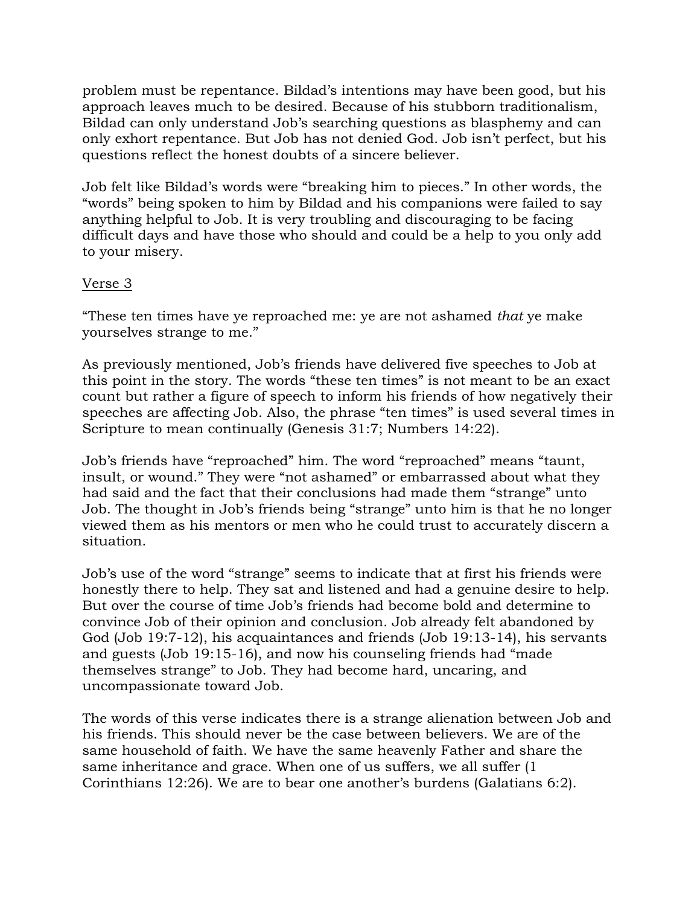problem must be repentance. Bildad's intentions may have been good, but his approach leaves much to be desired. Because of his stubborn traditionalism, Bildad can only understand Job's searching questions as blasphemy and can only exhort repentance. But Job has not denied God. Job isn't perfect, but his questions reflect the honest doubts of a sincere believer.

Job felt like Bildad's words were "breaking him to pieces." In other words, the "words" being spoken to him by Bildad and his companions were failed to say anything helpful to Job. It is very troubling and discouraging to be facing difficult days and have those who should and could be a help to you only add to your misery.

### Verse 3

"These ten times have ye reproached me: ye are not ashamed *that* ye make yourselves strange to me."

As previously mentioned, Job's friends have delivered five speeches to Job at this point in the story. The words "these ten times" is not meant to be an exact count but rather a figure of speech to inform his friends of how negatively their speeches are affecting Job. Also, the phrase "ten times" is used several times in Scripture to mean continually (Genesis 31:7; Numbers 14:22).

Job's friends have "reproached" him. The word "reproached" means "taunt, insult, or wound." They were "not ashamed" or embarrassed about what they had said and the fact that their conclusions had made them "strange" unto Job. The thought in Job's friends being "strange" unto him is that he no longer viewed them as his mentors or men who he could trust to accurately discern a situation.

Job's use of the word "strange" seems to indicate that at first his friends were honestly there to help. They sat and listened and had a genuine desire to help. But over the course of time Job's friends had become bold and determine to convince Job of their opinion and conclusion. Job already felt abandoned by God (Job 19:7-12), his acquaintances and friends (Job 19:13-14), his servants and guests (Job 19:15-16), and now his counseling friends had "made themselves strange" to Job. They had become hard, uncaring, and uncompassionate toward Job.

The words of this verse indicates there is a strange alienation between Job and his friends. This should never be the case between believers. We are of the same household of faith. We have the same heavenly Father and share the same inheritance and grace. When one of us suffers, we all suffer (1) Corinthians 12:26). We are to bear one another's burdens (Galatians 6:2).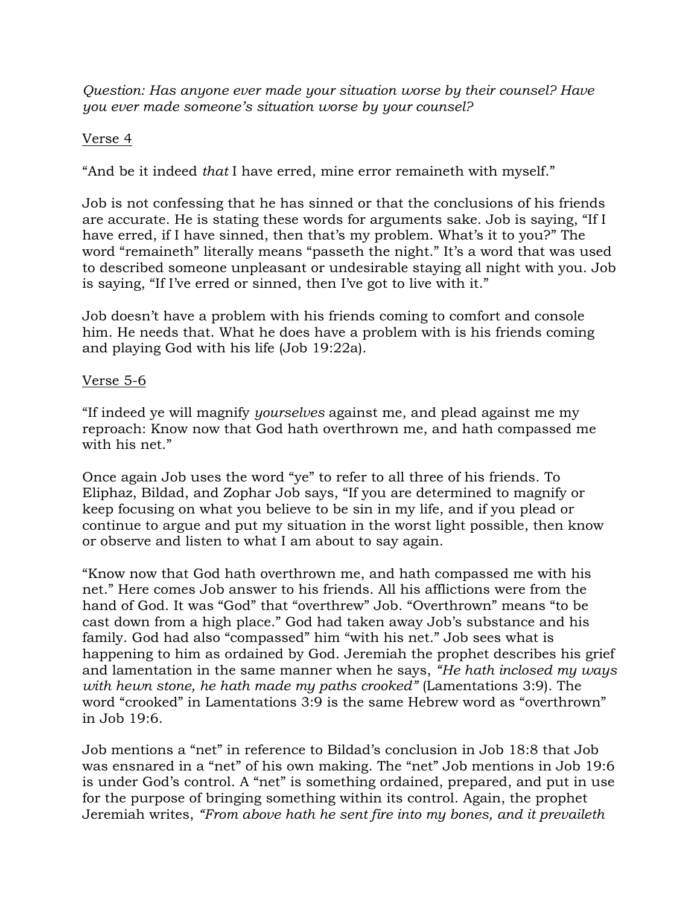*Question: Has anyone ever made your situation worse by their counsel? Have you ever made someone's situation worse by your counsel?*

### Verse 4

"And be it indeed *that* I have erred, mine error remaineth with myself."

Job is not confessing that he has sinned or that the conclusions of his friends are accurate. He is stating these words for arguments sake. Job is saying, "If I have erred, if I have sinned, then that's my problem. What's it to you?" The word "remaineth" literally means "passeth the night." It's a word that was used to described someone unpleasant or undesirable staying all night with you. Job is saying, "If I've erred or sinned, then I've got to live with it."

Job doesn't have a problem with his friends coming to comfort and console him. He needs that. What he does have a problem with is his friends coming and playing God with his life (Job 19:22a).

### Verse 5-6

"If indeed ye will magnify *yourselves* against me, and plead against me my reproach: Know now that God hath overthrown me, and hath compassed me with his net."

Once again Job uses the word "ye" to refer to all three of his friends. To Eliphaz, Bildad, and Zophar Job says, "If you are determined to magnify or keep focusing on what you believe to be sin in my life, and if you plead or continue to argue and put my situation in the worst light possible, then know or observe and listen to what I am about to say again.

"Know now that God hath overthrown me, and hath compassed me with his net." Here comes Job answer to his friends. All his afflictions were from the hand of God. It was "God" that "overthrew" Job. "Overthrown" means "to be cast down from a high place." God had taken away Job's substance and his family. God had also "compassed" him "with his net." Job sees what is happening to him as ordained by God. Jeremiah the prophet describes his grief and lamentation in the same manner when he says, *"He hath inclosed my ways with hewn stone, he hath made my paths crooked"* (Lamentations 3:9). The word "crooked" in Lamentations 3:9 is the same Hebrew word as "overthrown" in Job 19:6.

Job mentions a "net" in reference to Bildad's conclusion in Job 18:8 that Job was ensnared in a "net" of his own making. The "net" Job mentions in Job 19:6 is under God's control. A "net" is something ordained, prepared, and put in use for the purpose of bringing something within its control. Again, the prophet Jeremiah writes, *"From above hath he sent fire into my bones, and it prevaileth*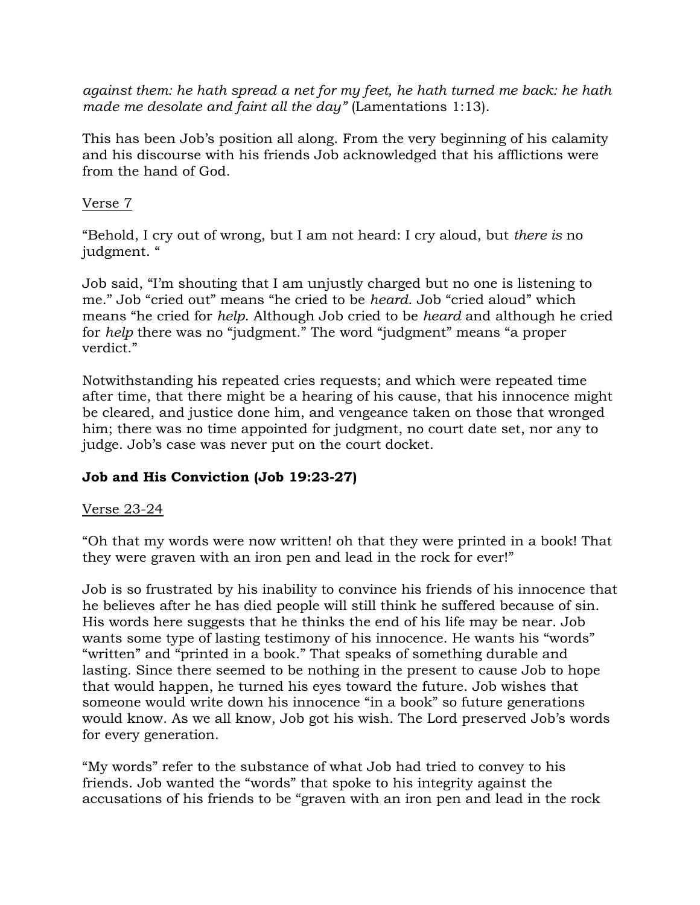*against them: he hath spread a net for my feet, he hath turned me back: he hath made me desolate and faint all the day"* (Lamentations 1:13).

This has been Job's position all along. From the very beginning of his calamity and his discourse with his friends Job acknowledged that his afflictions were from the hand of God.

### Verse 7

"Behold, I cry out of wrong, but I am not heard: I cry aloud, but *there is* no judgment. "

Job said, "I'm shouting that I am unjustly charged but no one is listening to me." Job "cried out" means "he cried to be *heard*. Job "cried aloud" which means "he cried for *help*. Although Job cried to be *heard* and although he cried for *help* there was no "judgment." The word "judgment" means "a proper verdict."

Notwithstanding his repeated cries requests; and which were repeated time after time, that there might be a hearing of his cause, that his innocence might be cleared, and justice done him, and vengeance taken on those that wronged him; there was no time appointed for judgment, no court date set, nor any to judge. Job's case was never put on the court docket.

# **Job and His Conviction (Job 19:23-27)**

### Verse 23-24

"Oh that my words were now written! oh that they were printed in a book! That they were graven with an iron pen and lead in the rock for ever!"

Job is so frustrated by his inability to convince his friends of his innocence that he believes after he has died people will still think he suffered because of sin. His words here suggests that he thinks the end of his life may be near. Job wants some type of lasting testimony of his innocence. He wants his "words" "written" and "printed in a book." That speaks of something durable and lasting. Since there seemed to be nothing in the present to cause Job to hope that would happen, he turned his eyes toward the future. Job wishes that someone would write down his innocence "in a book" so future generations would know. As we all know, Job got his wish. The Lord preserved Job's words for every generation.

"My words" refer to the substance of what Job had tried to convey to his friends. Job wanted the "words" that spoke to his integrity against the accusations of his friends to be "graven with an iron pen and lead in the rock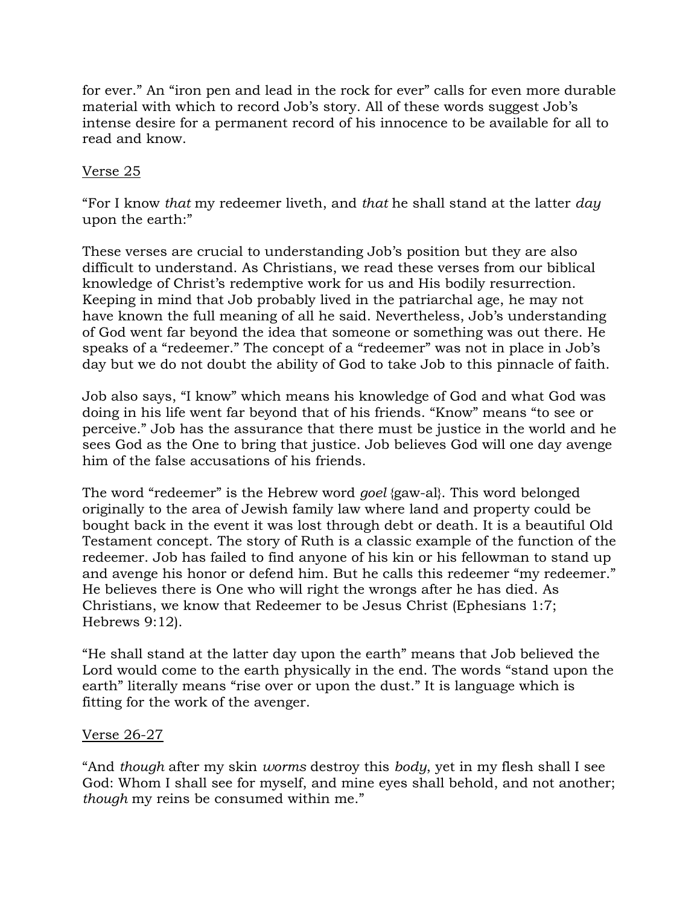for ever." An "iron pen and lead in the rock for ever" calls for even more durable material with which to record Job's story. All of these words suggest Job's intense desire for a permanent record of his innocence to be available for all to read and know.

### Verse 25

"For I know *that* my redeemer liveth, and *that* he shall stand at the latter *day* upon the earth:"

These verses are crucial to understanding Job's position but they are also difficult to understand. As Christians, we read these verses from our biblical knowledge of Christ's redemptive work for us and His bodily resurrection. Keeping in mind that Job probably lived in the patriarchal age, he may not have known the full meaning of all he said. Nevertheless, Job's understanding of God went far beyond the idea that someone or something was out there. He speaks of a "redeemer." The concept of a "redeemer" was not in place in Job's day but we do not doubt the ability of God to take Job to this pinnacle of faith.

Job also says, "I know" which means his knowledge of God and what God was doing in his life went far beyond that of his friends. "Know" means "to see or perceive." Job has the assurance that there must be justice in the world and he sees God as the One to bring that justice. Job believes God will one day avenge him of the false accusations of his friends.

The word "redeemer" is the Hebrew word *goel* {gaw-al}. This word belonged originally to the area of Jewish family law where land and property could be bought back in the event it was lost through debt or death. It is a beautiful Old Testament concept. The story of Ruth is a classic example of the function of the redeemer. Job has failed to find anyone of his kin or his fellowman to stand up and avenge his honor or defend him. But he calls this redeemer "my redeemer." He believes there is One who will right the wrongs after he has died. As Christians, we know that Redeemer to be Jesus Christ (Ephesians 1:7; Hebrews 9:12).

"He shall stand at the latter day upon the earth" means that Job believed the Lord would come to the earth physically in the end. The words "stand upon the earth" literally means "rise over or upon the dust." It is language which is fitting for the work of the avenger.

### Verse 26-27

"And *though* after my skin *worms* destroy this *body*, yet in my flesh shall I see God: Whom I shall see for myself, and mine eyes shall behold, and not another; *though* my reins be consumed within me."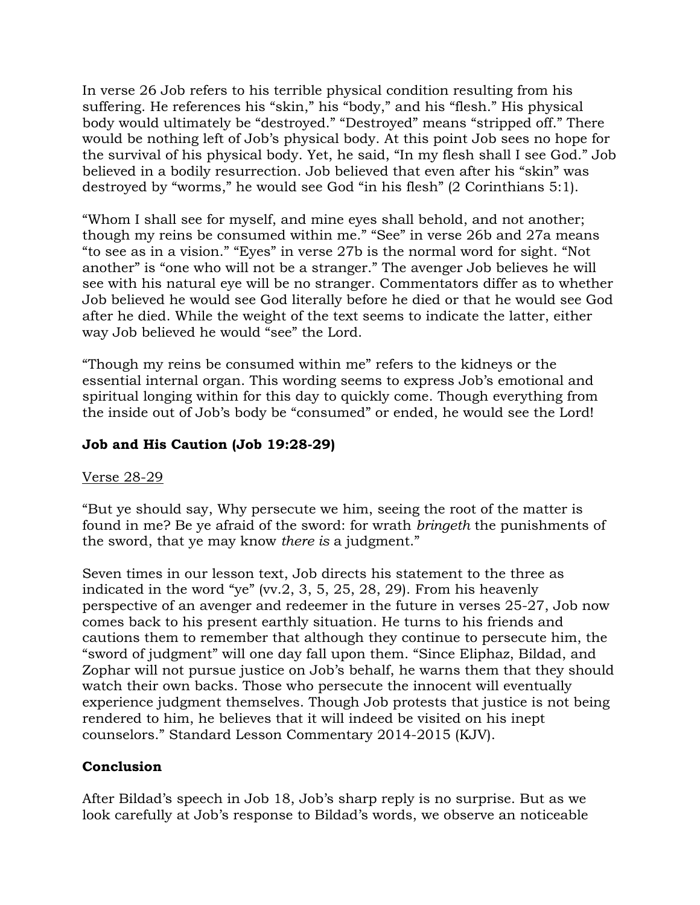In verse 26 Job refers to his terrible physical condition resulting from his suffering. He references his "skin," his "body," and his "flesh." His physical body would ultimately be "destroyed." "Destroyed" means "stripped off." There would be nothing left of Job's physical body. At this point Job sees no hope for the survival of his physical body. Yet, he said, "In my flesh shall I see God." Job believed in a bodily resurrection. Job believed that even after his "skin" was destroyed by "worms," he would see God "in his flesh" (2 Corinthians 5:1).

"Whom I shall see for myself, and mine eyes shall behold, and not another; though my reins be consumed within me." "See" in verse 26b and 27a means "to see as in a vision." "Eyes" in verse 27b is the normal word for sight. "Not another" is "one who will not be a stranger." The avenger Job believes he will see with his natural eye will be no stranger. Commentators differ as to whether Job believed he would see God literally before he died or that he would see God after he died. While the weight of the text seems to indicate the latter, either way Job believed he would "see" the Lord.

"Though my reins be consumed within me" refers to the kidneys or the essential internal organ. This wording seems to express Job's emotional and spiritual longing within for this day to quickly come. Though everything from the inside out of Job's body be "consumed" or ended, he would see the Lord!

### **Job and His Caution (Job 19:28-29)**

#### Verse 28-29

"But ye should say, Why persecute we him, seeing the root of the matter is found in me? Be ye afraid of the sword: for wrath *bringeth* the punishments of the sword, that ye may know *there is* a judgment."

Seven times in our lesson text, Job directs his statement to the three as indicated in the word "ye" (vv.2, 3, 5, 25, 28, 29). From his heavenly perspective of an avenger and redeemer in the future in verses 25-27, Job now comes back to his present earthly situation. He turns to his friends and cautions them to remember that although they continue to persecute him, the "sword of judgment" will one day fall upon them. "Since Eliphaz, Bildad, and Zophar will not pursue justice on Job's behalf, he warns them that they should watch their own backs. Those who persecute the innocent will eventually experience judgment themselves. Though Job protests that justice is not being rendered to him, he believes that it will indeed be visited on his inept counselors." Standard Lesson Commentary 2014-2015 (KJV).

### **Conclusion**

After Bildad's speech in Job 18, Job's sharp reply is no surprise. But as we look carefully at Job's response to Bildad's words, we observe an noticeable